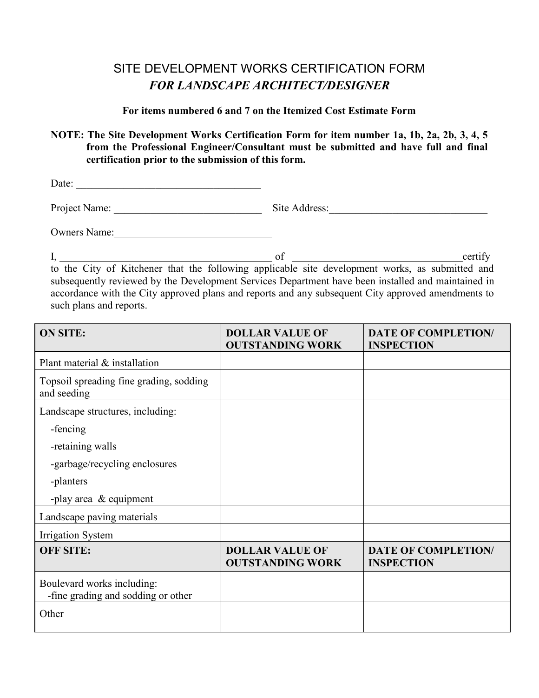## SITE DEVELOPMENT WORKS CERTIFICATION FORM *FOR LANDSCAPE ARCHITECT/DESIGNER*

## **For items numbered 6 and 7 on the Itemized Cost Estimate Form**

## **NOTE: The Site Development Works Certification Form for item number 1a, 1b, 2a, 2b, 3, 4, 5 from the Professional Engineer/Consultant must be submitted and have full and final certification prior to the submission of this form.**

Date: \_\_\_\_\_\_\_\_\_\_\_\_\_\_\_\_\_\_\_\_\_\_\_\_\_\_\_\_\_\_\_\_\_\_\_

Project Name: \_\_\_\_\_\_\_\_\_\_\_\_\_\_\_\_\_\_\_\_\_\_\_\_\_\_\_\_ Site Address:\_\_\_\_\_\_\_\_\_\_\_\_\_\_\_\_\_\_\_\_\_\_\_\_\_\_\_\_\_\_

Owners Name:

I, certify

to the City of Kitchener that the following applicable site development works, as submitted and subsequently reviewed by the Development Services Department have been installed and maintained in accordance with the City approved plans and reports and any subsequent City approved amendments to such plans and reports.

| <b>ON SITE:</b>                                                  | <b>DOLLAR VALUE OF</b><br><b>OUTSTANDING WORK</b> | <b>DATE OF COMPLETION/</b><br><b>INSPECTION</b> |
|------------------------------------------------------------------|---------------------------------------------------|-------------------------------------------------|
| Plant material & installation                                    |                                                   |                                                 |
| Topsoil spreading fine grading, sodding<br>and seeding           |                                                   |                                                 |
| Landscape structures, including:                                 |                                                   |                                                 |
| -fencing                                                         |                                                   |                                                 |
| -retaining walls                                                 |                                                   |                                                 |
| -garbage/recycling enclosures                                    |                                                   |                                                 |
| -planters                                                        |                                                   |                                                 |
| -play area $\&$ equipment                                        |                                                   |                                                 |
| Landscape paving materials                                       |                                                   |                                                 |
| <b>Irrigation System</b>                                         |                                                   |                                                 |
| <b>OFF SITE:</b>                                                 | <b>DOLLAR VALUE OF</b><br><b>OUTSTANDING WORK</b> | <b>DATE OF COMPLETION/</b><br><b>INSPECTION</b> |
| Boulevard works including:<br>-fine grading and sodding or other |                                                   |                                                 |
| Other                                                            |                                                   |                                                 |